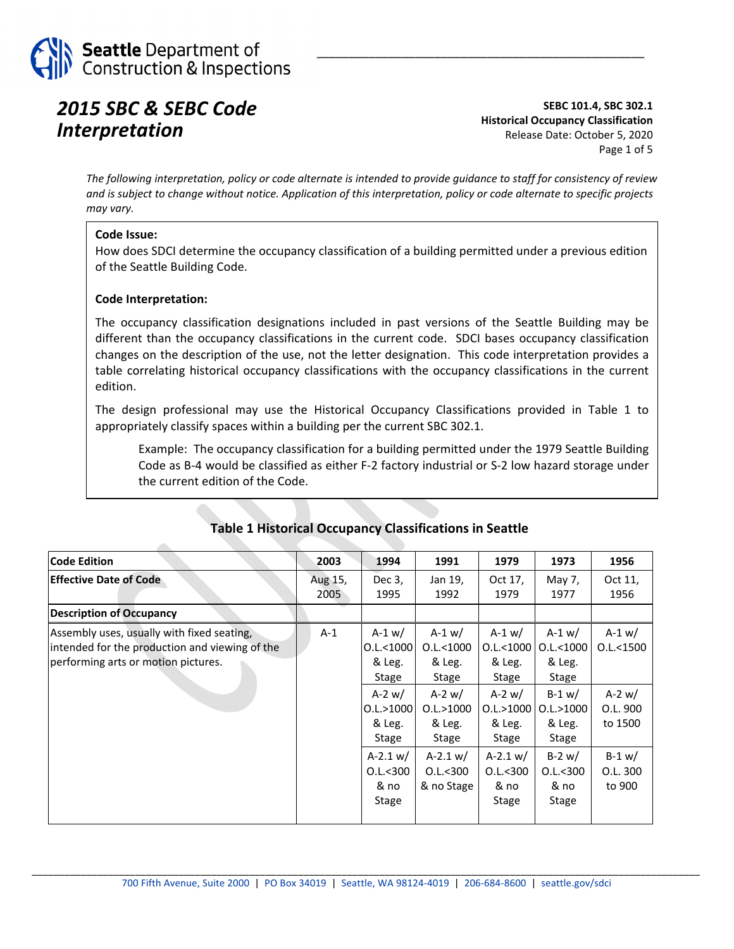

### *2015 SBC & SEBC Code Interpretation*

**SEBC 101.4, SBC 302.1 Historical Occupancy Classification** Release Date: October 5, 2020 Page 1 of 5

\_\_\_\_\_\_\_\_\_\_\_\_\_\_\_\_\_\_\_\_\_\_\_\_\_\_\_\_\_\_\_\_\_\_\_\_\_\_\_\_\_\_\_\_\_\_\_\_\_\_

The following interpretation, policy or code alternate is intended to provide quidance to staff for consistency of review and is subject to change without notice. Application of this interpretation, policy or code alternate to specific projects *may vary.*

#### **Code Issue:**

How does SDCI determine the occupancy classification of a building permitted under a previous edition of the Seattle Building Code.

#### **Code Interpretation:**

The occupancy classification designations included in past versions of the Seattle Building may be different than the occupancy classifications in the current code. SDCI bases occupancy classification changes on the description of the use, not the letter designation. This code interpretation provides a table correlating historical occupancy classifications with the occupancy classifications in the current edition.

The design professional may use the Historical Occupancy Classifications provided in Table 1 to appropriately classify spaces within a building per the current SBC 302.1.

Example: The occupancy classification for a building permitted under the 1979 Seattle Building Code as B‐4 would be classified as either F‐2 factory industrial or S‐2 low hazard storage under the current edition of the Code.

| <b>Code Edition</b>                                                                                                                 | 2003            | 1994                                                                                                                                       | 1991                                                                                                                               | 1979                                                                                                                               | 1973                                                                                                                                | 1956                                                                                             |
|-------------------------------------------------------------------------------------------------------------------------------------|-----------------|--------------------------------------------------------------------------------------------------------------------------------------------|------------------------------------------------------------------------------------------------------------------------------------|------------------------------------------------------------------------------------------------------------------------------------|-------------------------------------------------------------------------------------------------------------------------------------|--------------------------------------------------------------------------------------------------|
| <b>Effective Date of Code</b>                                                                                                       | Aug 15,<br>2005 | Dec 3,<br>1995                                                                                                                             | Jan 19,<br>1992                                                                                                                    | Oct 17,<br>1979                                                                                                                    | May 7,<br>1977                                                                                                                      | Oct 11,<br>1956                                                                                  |
| <b>Description of Occupancy</b>                                                                                                     |                 |                                                                                                                                            |                                                                                                                                    |                                                                                                                                    |                                                                                                                                     |                                                                                                  |
| Assembly uses, usually with fixed seating,<br>intended for the production and viewing of the<br>performing arts or motion pictures. | $A-1$           | $A-1 w/$<br>$0.$ L $<$ 1000<br>& Leg.<br>Stage<br>$A-2$ w/<br>0.1. > 1000<br>& Leg.<br>Stage<br>$A-2.1 w/$<br>$0.1 - 300$<br>& no<br>Stage | $A-1 w/$<br>0.1 < 1000<br>& Leg.<br>Stage<br>$A-2$ w/<br>0.1. > 1000<br>& Leg.<br>Stage<br>$A-2.1 w/$<br>$0.1 - 300$<br>& no Stage | $A-1 w/$<br>0.L.<1000<br>& Leg.<br>Stage<br>$A-2$ w/<br>0.L. > 1000<br>& Leg.<br>Stage<br>$A-2.1 w/$<br>0.1 < 300<br>& no<br>Stage | $A-1 w/$<br>0.1 < 1000<br>& Leg.<br>Stage<br>$B-1 w/$<br>0.1. > 1000<br>& Leg.<br>Stage<br>$B-2$ w/<br>$0.1 - 300$<br>& no<br>Stage | $A-1 w/$<br>$0.$ L $<$ 1500<br>$A-2$ w/<br>O.L. 900<br>to 1500<br>$B-1 w/$<br>O.L. 300<br>to 900 |

#### **Table 1 Historical Occupancy Classifications in Seattle**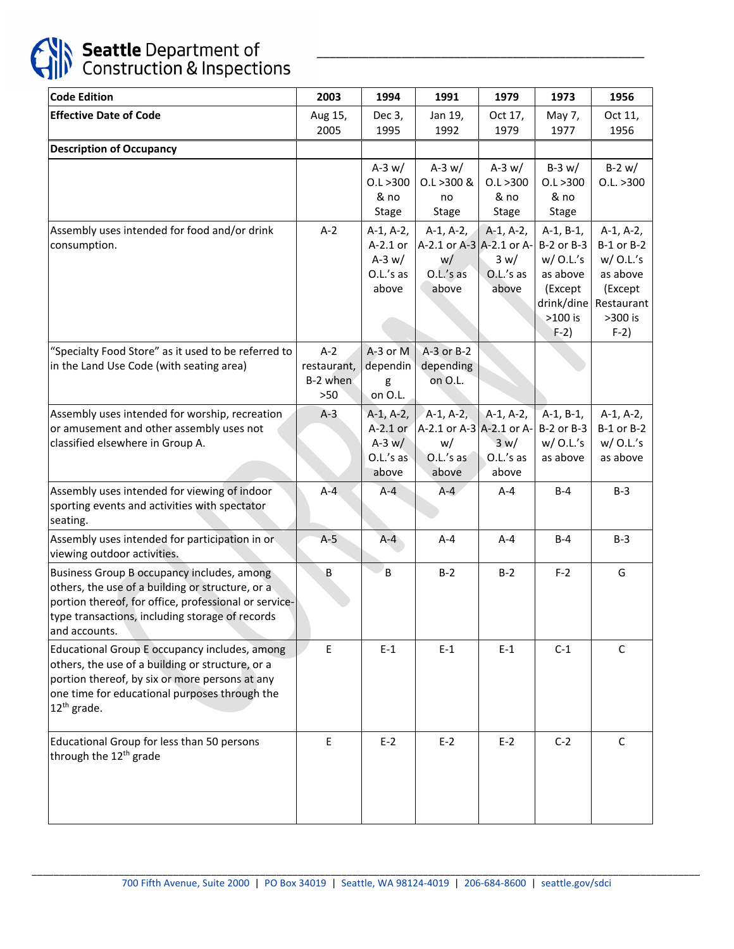

# Seattle Department of<br>Construction & Inspections

| <b>Code Edition</b>                                                                                                                                                                                                         | 2003                                      | 1994                                                        | 1991                                                                | 1979                                      | 1973                                                                                                 | 1956                                                                                               |
|-----------------------------------------------------------------------------------------------------------------------------------------------------------------------------------------------------------------------------|-------------------------------------------|-------------------------------------------------------------|---------------------------------------------------------------------|-------------------------------------------|------------------------------------------------------------------------------------------------------|----------------------------------------------------------------------------------------------------|
| <b>Effective Date of Code</b>                                                                                                                                                                                               | Aug 15,<br>2005                           | Dec 3,<br>1995                                              | Jan 19,<br>1992                                                     | Oct 17,<br>1979                           | May 7,<br>1977                                                                                       | Oct 11,<br>1956                                                                                    |
| <b>Description of Occupancy</b>                                                                                                                                                                                             |                                           |                                                             |                                                                     |                                           |                                                                                                      |                                                                                                    |
|                                                                                                                                                                                                                             |                                           | A-3 $w/$<br>0.1 > 300<br>& no<br>Stage                      | A-3 $w/$<br>$0.1 > 300$ &<br>no<br>Stage                            | A-3 $w/$<br>0.1 > 300<br>& no<br>Stage    | $B-3 w/$<br>0.1 > 300<br>& no<br><b>Stage</b>                                                        | $B-2 w/$<br>0.L. > 300                                                                             |
| Assembly uses intended for food and/or drink<br>consumption.                                                                                                                                                                | $A-2$                                     | $A-1, A-2,$<br>A-2.1 or<br>A-3 $w/$<br>O.L.'s as<br>above   | $A-1, A-2,$<br>A-2.1 or A-3 A-2.1 or A-<br>w/<br>O.L.'s as<br>above | $A-1, A-2,$<br>3 w/<br>O.L.'s as<br>above | $A-1, B-1,$<br>B-2 or B-3<br>$w/$ O.L.'s<br>as above<br>(Except<br>drink/dine<br>$>100$ is<br>$F-2)$ | $A-1, A-2,$<br>B-1 or B-2<br>$w/$ O.L.'s<br>as above<br>(Except<br>Restaurant<br>>300 is<br>$F-2)$ |
| "Specialty Food Store" as it used to be referred to<br>in the Land Use Code (with seating area)                                                                                                                             | $A-2$<br>restaurant,<br>B-2 when<br>$>50$ | A-3 or M<br>dependin<br>g<br>on O.L.                        | A-3 or B-2<br>depending<br>on O.L.                                  |                                           |                                                                                                      |                                                                                                    |
| Assembly uses intended for worship, recreation<br>or amusement and other assembly uses not<br>classified elsewhere in Group A.                                                                                              | $A-3$                                     | $A-1, A-2,$<br>$A-2.1$ or<br>$A-3 w/$<br>O.L.'s as<br>above | $A-1, A-2,$<br>A-2.1 or A-3 A-2.1 or A-<br>w/<br>O.L.'s as<br>above | $A-1, A-2,$<br>3 w/<br>O.L.'s as<br>above | $A-1, B-1,$<br>B-2 or B-3<br>$w/$ O.L.'s<br>as above                                                 | $A-1, A-2,$<br>B-1 or B-2<br>$w/$ O.L.'s<br>as above                                               |
| Assembly uses intended for viewing of indoor<br>sporting events and activities with spectator<br>seating.                                                                                                                   | $A-4$                                     | $A - 4$                                                     | $A-4$                                                               | $A - 4$                                   | $B-4$                                                                                                | $B-3$                                                                                              |
| Assembly uses intended for participation in or<br>viewing outdoor activities.                                                                                                                                               | $A-5$                                     | $A - 4$                                                     | $A - 4$                                                             | $A - 4$                                   | $B-4$                                                                                                | $B-3$                                                                                              |
| Business Group B occupancy includes, among<br>others, the use of a building or structure, or a<br>portion thereof, for office, professional or service-<br>type transactions, including storage of records<br>and accounts. | B                                         | B                                                           | $B-2$                                                               | $B-2$                                     | $F-2$                                                                                                | G                                                                                                  |
| Educational Group E occupancy includes, among<br>others, the use of a building or structure, or a<br>portion thereof, by six or more persons at any<br>one time for educational purposes through the<br>$12th$ grade.       | E                                         | $E-1$                                                       | $E-1$                                                               | $E-1$                                     | $C-1$                                                                                                | $\mathsf{C}$                                                                                       |
| Educational Group for less than 50 persons<br>through the 12 <sup>th</sup> grade                                                                                                                                            | E                                         | $E-2$                                                       | $E-2$                                                               | $E-2$                                     | $C-2$                                                                                                | C                                                                                                  |

\_\_\_\_\_\_\_\_\_\_\_\_\_\_\_\_\_\_\_\_\_\_\_\_\_\_\_\_\_\_\_\_\_\_\_\_\_\_\_\_\_\_\_\_\_\_\_\_\_\_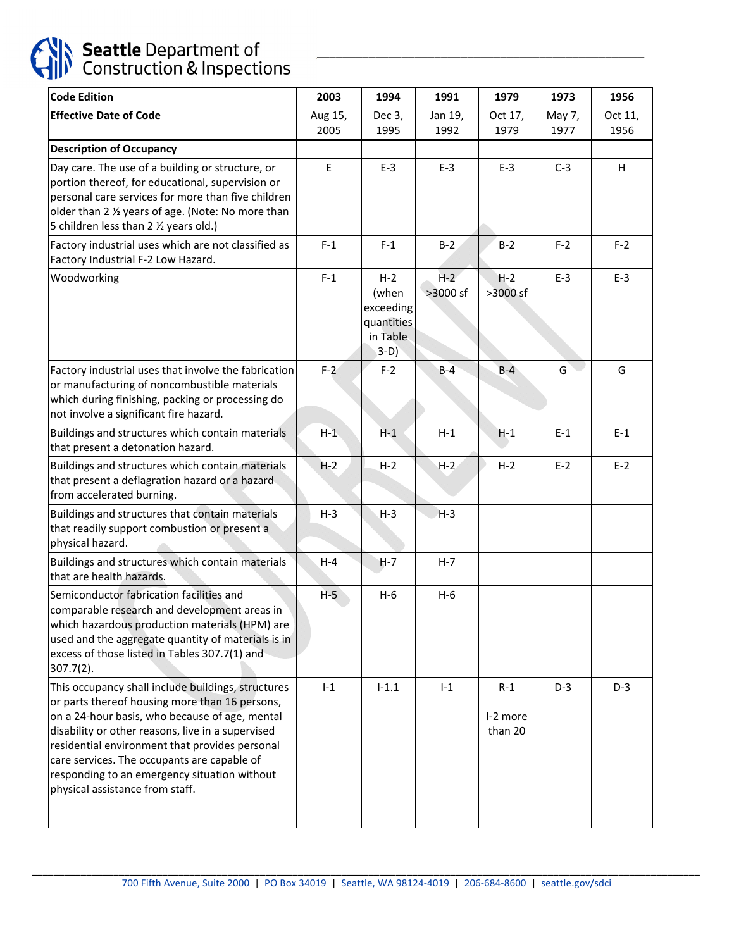

| <b>Code Edition</b>                                                                                                                                                                                                                                                                                                                                                                             | 2003            | 1994                                                            | 1991              | 1979                         | 1973           | 1956            |
|-------------------------------------------------------------------------------------------------------------------------------------------------------------------------------------------------------------------------------------------------------------------------------------------------------------------------------------------------------------------------------------------------|-----------------|-----------------------------------------------------------------|-------------------|------------------------------|----------------|-----------------|
| <b>Effective Date of Code</b>                                                                                                                                                                                                                                                                                                                                                                   | Aug 15,<br>2005 | Dec 3,<br>1995                                                  | Jan 19,<br>1992   | Oct 17,<br>1979              | May 7,<br>1977 | Oct 11,<br>1956 |
| <b>Description of Occupancy</b>                                                                                                                                                                                                                                                                                                                                                                 |                 |                                                                 |                   |                              |                |                 |
| Day care. The use of a building or structure, or<br>portion thereof, for educational, supervision or<br>personal care services for more than five children<br>older than 2 % years of age. (Note: No more than<br>5 children less than 2 1/2 years old.)                                                                                                                                        | E               | $E-3$                                                           | $E-3$             | $E-3$                        | $C-3$          | H               |
| Factory industrial uses which are not classified as<br>Factory Industrial F-2 Low Hazard.                                                                                                                                                                                                                                                                                                       | $F-1$           | $F-1$                                                           | $B-2$             | $B-2$                        | $F-2$          | $F-2$           |
| Woodworking                                                                                                                                                                                                                                                                                                                                                                                     | $F-1$           | $H-2$<br>(when<br>exceeding<br>quantities<br>in Table<br>$3-D)$ | $H-2$<br>>3000 sf | $H-2$<br>>3000 sf            | $E-3$          | $E-3$           |
| Factory industrial uses that involve the fabrication<br>or manufacturing of noncombustible materials<br>which during finishing, packing or processing do<br>not involve a significant fire hazard.                                                                                                                                                                                              | $F-2$           | $F-2$                                                           | $B-4$             | $B-4$                        | G              | G               |
| Buildings and structures which contain materials<br>that present a detonation hazard.                                                                                                                                                                                                                                                                                                           | $H-1$           | $H-1$                                                           | $H-1$             | $H-1$                        | $E-1$          | $E-1$           |
| Buildings and structures which contain materials<br>that present a deflagration hazard or a hazard<br>from accelerated burning.                                                                                                                                                                                                                                                                 | $H-2$           | $H-2$                                                           | $H-2$             | $H-2$                        | $E-2$          | $E-2$           |
| Buildings and structures that contain materials<br>that readily support combustion or present a<br>physical hazard.                                                                                                                                                                                                                                                                             | $H-3$           | $H-3$                                                           | $H-3$             |                              |                |                 |
| Buildings and structures which contain materials<br>that are health hazards.                                                                                                                                                                                                                                                                                                                    | $H - 4$         | $H-7$                                                           | $H - 7$           |                              |                |                 |
| Semiconductor fabrication facilities and<br>comparable research and development areas in<br>which hazardous production materials (HPM) are<br>used and the aggregate quantity of materials is in<br>excess of those listed in Tables 307.7(1) and<br>$307.7(2)$ .                                                                                                                               | $H-5$           | $H-6$                                                           | $H-6$             |                              |                |                 |
| This occupancy shall include buildings, structures<br>or parts thereof housing more than 16 persons,<br>on a 24-hour basis, who because of age, mental<br>disability or other reasons, live in a supervised<br>residential environment that provides personal<br>care services. The occupants are capable of<br>responding to an emergency situation without<br>physical assistance from staff. | $I-1$           | $I-1.1$                                                         | $I-1$             | $R-1$<br>I-2 more<br>than 20 | $D-3$          | $D-3$           |

\_\_\_\_\_\_\_\_\_\_\_\_\_\_\_\_\_\_\_\_\_\_\_\_\_\_\_\_\_\_\_\_\_\_\_\_\_\_\_\_\_\_\_\_\_\_\_\_\_\_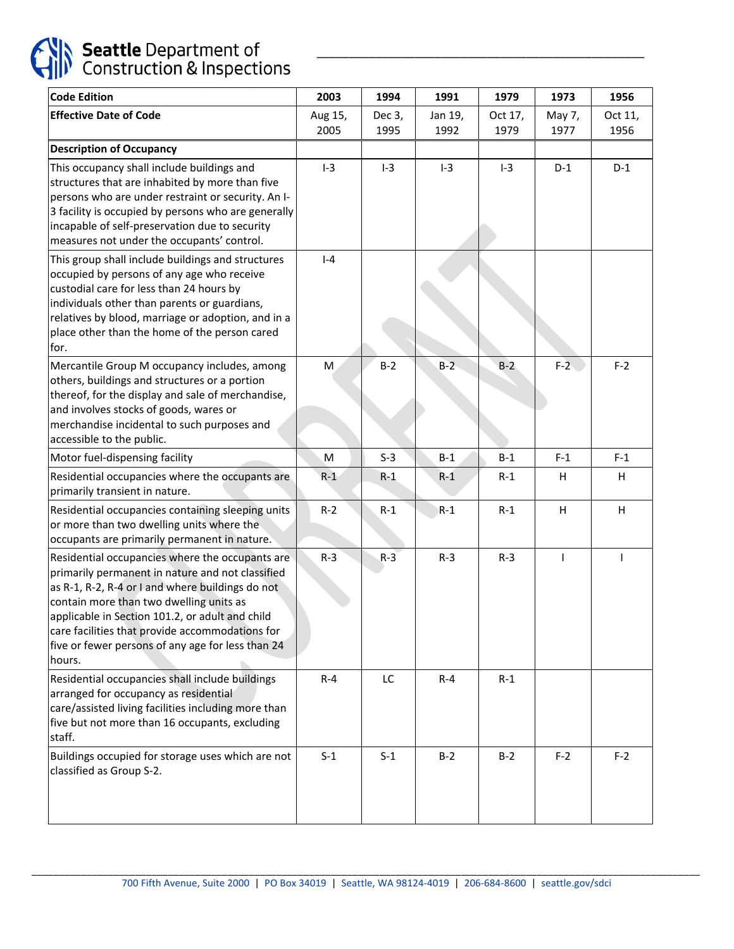

# Seattle Department of<br>Construction & Inspections

| Code Edition                                                                                                                                                                                                                                                                                                                                                            | 2003            | 1994           | 1991            | 1979            | 1973           | 1956            |
|-------------------------------------------------------------------------------------------------------------------------------------------------------------------------------------------------------------------------------------------------------------------------------------------------------------------------------------------------------------------------|-----------------|----------------|-----------------|-----------------|----------------|-----------------|
| <b>Effective Date of Code</b>                                                                                                                                                                                                                                                                                                                                           | Aug 15,<br>2005 | Dec 3,<br>1995 | Jan 19,<br>1992 | Oct 17,<br>1979 | May 7,<br>1977 | Oct 11,<br>1956 |
| <b>Description of Occupancy</b>                                                                                                                                                                                                                                                                                                                                         |                 |                |                 |                 |                |                 |
| This occupancy shall include buildings and<br>structures that are inhabited by more than five<br>persons who are under restraint or security. An I-<br>3 facility is occupied by persons who are generally<br>incapable of self-preservation due to security<br>measures not under the occupants' control.                                                              | $I-3$           | $I-3$          | $I-3$           | $I-3$           | $D-1$          | $D-1$           |
| This group shall include buildings and structures<br>occupied by persons of any age who receive<br>custodial care for less than 24 hours by<br>individuals other than parents or guardians,<br>relatives by blood, marriage or adoption, and in a<br>place other than the home of the person cared<br>for.                                                              | $I - 4$         |                |                 |                 |                |                 |
| Mercantile Group M occupancy includes, among<br>others, buildings and structures or a portion<br>thereof, for the display and sale of merchandise,<br>and involves stocks of goods, wares or<br>merchandise incidental to such purposes and<br>accessible to the public.                                                                                                | M               | $B-2$          | $B-2$           | $B-2$           | $F-2$          | $F-2$           |
| Motor fuel-dispensing facility                                                                                                                                                                                                                                                                                                                                          | M               | $S-3$          | $B-1$           | $B-1$           | $F-1$          | $F-1$           |
| Residential occupancies where the occupants are<br>primarily transient in nature.                                                                                                                                                                                                                                                                                       | $R-1$           | $R-1$          | $R-1$           | $R-1$           | H              | H               |
| Residential occupancies containing sleeping units<br>or more than two dwelling units where the<br>occupants are primarily permanent in nature.                                                                                                                                                                                                                          | $R-2$           | $R-1$          | $R-1$           | $R-1$           | H              | H               |
| Residential occupancies where the occupants are<br>primarily permanent in nature and not classified<br>as R-1, R-2, R-4 or I and where buildings do not<br>contain more than two dwelling units as<br>applicable in Section 101.2, or adult and child<br>care facilities that provide accommodations for<br>five or fewer persons of any age for less than 24<br>hours. | $R-3$           | $R-3$          | $R-3$           | $R-3$           | T              |                 |
| Residential occupancies shall include buildings<br>arranged for occupancy as residential<br>care/assisted living facilities including more than<br>five but not more than 16 occupants, excluding<br>staff.                                                                                                                                                             | $R - 4$         | LC             | $R - 4$         | $R-1$           |                |                 |
| Buildings occupied for storage uses which are not<br>classified as Group S-2.                                                                                                                                                                                                                                                                                           | $S-1$           | $S-1$          | $B-2$           | $B-2$           | $F-2$          | $F-2$           |

\_\_\_\_\_\_\_\_\_\_\_\_\_\_\_\_\_\_\_\_\_\_\_\_\_\_\_\_\_\_\_\_\_\_\_\_\_\_\_\_\_\_\_\_\_\_\_\_\_\_